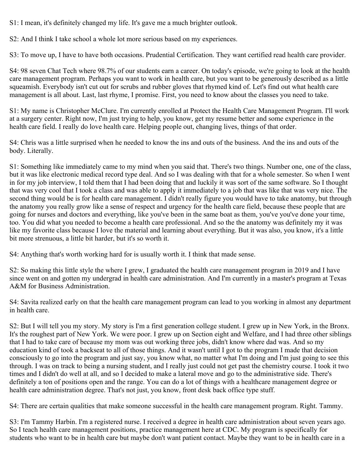S1: I mean, it's definitely changed my life. It's gave me a much brighter outlook.

S2: And I think I take school a whole lot more serious based on my experiences.

S3: To move up, I have to have both occasions. Prudential Certification. They want certified read health care provider.

S4: 98 seven Chat Tech where 98.7% of our students earn a career. On today's episode, we're going to look at the health care management program. Perhaps you want to work in health care, but you want to be generously described as a little squeamish. Everybody isn't cut out for scrubs and rubber gloves that rhymed kind of. Let's find out what health care management is all about. Last, last rhyme, I promise. First, you need to know about the classes you need to take.

S1: My name is Christopher McClure. I'm currently enrolled at Protect the Health Care Management Program. I'll work at a surgery center. Right now, I'm just trying to help, you know, get my resume better and some experience in the health care field. I really do love health care. Helping people out, changing lives, things of that order.

S4: Chris was a little surprised when he needed to know the ins and outs of the business. And the ins and outs of the body. Literally.

S1: Something like immediately came to my mind when you said that. There's two things. Number one, one of the class, but it was like electronic medical record type deal. And so I was dealing with that for a whole semester. So when I went in for my job interview, I told them that I had been doing that and luckily it was sort of the same software. So I thought that was very cool that I took a class and was able to apply it immediately to a job that was like that was very nice. The second thing would be is for health care management. I didn't really figure you would have to take anatomy, but through the anatomy you really grow like a sense of respect and urgency for the health care field, because these people that are going for nurses and doctors and everything, like you've been in the same boat as them, you've you've done your time, too. You did what you needed to become a health care professional. And so the the anatomy was definitely my it was like my favorite class because I love the material and learning about everything. But it was also, you know, it's a little bit more strenuous, a little bit harder, but it's so worth it.

S4: Anything that's worth working hard for is usually worth it. I think that made sense.

S2: So making this little style the where I grew, I graduated the health care management program in 2019 and I have since went on and gotten my undergrad in health care administration. And I'm currently in a master's program at Texas A&M for Business Administration.

S4: Savita realized early on that the health care management program can lead to you working in almost any department in health care.

S2: But I will tell you my story. My story is I'm a first generation college student. I grew up in New York, in the Bronx. It's the roughest part of New York. We were poor. I grew up on Section eight and Welfare, and I had three other siblings that I had to take care of because my mom was out working three jobs, didn't know where dad was. And so my education kind of took a backseat to all of those things. And it wasn't until I got to the program I made that decision consciously to go into the program and just say, you know what, no matter what I'm doing and I'm just going to see this through. I was on track to being a nursing student, and I really just could not get past the chemistry course. I took it two times and I didn't do well at all, and so I decided to make a lateral move and go to the administrative side. There's definitely a ton of positions open and the range. You can do a lot of things with a healthcare management degree or health care administration degree. That's not just, you know, front desk back office type stuff.

S4: There are certain qualities that make someone successful in the health care management program. Right. Tammy.

S3: I'm Tammy Harbin. I'm a registered nurse. I received a degree in health care administration about seven years ago. So I teach health care management positions, practice management here at CDC. My program is specifically for students who want to be in health care but maybe don't want patient contact. Maybe they want to be in health care in a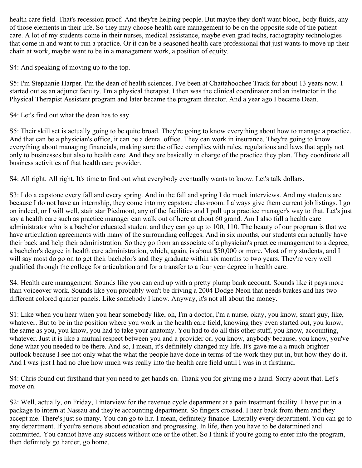health care field. That's recession proof. And they're helping people. But maybe they don't want blood, body fluids, any of those elements in their life. So they may choose health care management to be on the opposite side of the patient care. A lot of my students come in their nurses, medical assistance, maybe even grad techs, radiography technologies that come in and want to run a practice. Or it can be a seasoned health care professional that just wants to move up their chain at work, maybe want to be in a management work, a position of equity.

S4: And speaking of moving up to the top.

S5: I'm Stephanie Harper. I'm the dean of health sciences. I've been at Chattahoochee Track for about 13 years now. I started out as an adjunct faculty. I'm a physical therapist. I then was the clinical coordinator and an instructor in the Physical Therapist Assistant program and later became the program director. And a year ago I became Dean.

S4: Let's find out what the dean has to say.

S5: Their skill set is actually going to be quite broad. They're going to know everything about how to manage a practice. And that can be a physician's office, it can be a dental office. They can work in insurance. They're going to know everything about managing financials, making sure the office complies with rules, regulations and laws that apply not only to businesses but also to health care. And they are basically in charge of the practice they plan. They coordinate all business activities of that health care provider.

S4: All right. All right. It's time to find out what everybody eventually wants to know. Let's talk dollars.

S3: I do a capstone every fall and every spring. And in the fall and spring I do mock interviews. And my students are because I do not have an internship, they come into my capstone classroom. I always give them current job listings. I go on indeed, or I will well, stair star Piedmont, any of the facilities and I pull up a practice manager's way to that. Let's just say a health care such as practice manager can walk out of here at about 60 grand. Am I also full a health care administrator who is a bachelor educated student and they can go up to 100, 110. The beauty of our program is that we have articulation agreements with many of the surrounding colleges. And in six months, our students can actually have their back and help their administration. So they go from an associate of a physician's practice management to a degree, a bachelor's degree in health care administration, which, again, is about \$50,000 or more. Most of my students, and I will say most do go on to get their bachelor's and they graduate within six months to two years. They're very well qualified through the college for articulation and for a transfer to a four year degree in health care.

S4: Health care management. Sounds like you can end up with a pretty plump bank account. Sounds like it pays more than voiceover work. Sounds like you probably won't be driving a 2004 Dodge Neon that needs brakes and has two different colored quarter panels. Like somebody I know. Anyway, it's not all about the money.

S1: Like when you hear when you hear somebody like, oh, I'm a doctor, I'm a nurse, okay, you know, smart guy, like, whatever. But to be in the position where you work in the health care field, knowing they even started out, you know, the same as you, you know, you had to take your anatomy. You had to do all this other stuff, you know, accounting, whatever. Just it is like a mutual respect between you and a provider or, you know, anybody because, you know, you've done what you needed to be there. And so, I mean, it's definitely changed my life. It's gave me a a much brighter outlook because I see not only what the what the people have done in terms of the work they put in, but how they do it. And I was just I had no clue how much was really into the health care field until I was in it firsthand.

S4: Chris found out firsthand that you need to get hands on. Thank you for giving me a hand. Sorry about that. Let's move on.

S2: Well, actually, on Friday, I interview for the revenue cycle department at a pain treatment facility. I have put in a package to intern at Nassau and they're accounting department. So fingers crossed. I hear back from them and they accept me. There's just so many. You can go to h.r. I mean, definitely finance. Literally every department. You can go to any department. If you're serious about education and progressing. In life, then you have to be determined and committed. You cannot have any success without one or the other. So I think if you're going to enter into the program, then definitely go harder, go home.